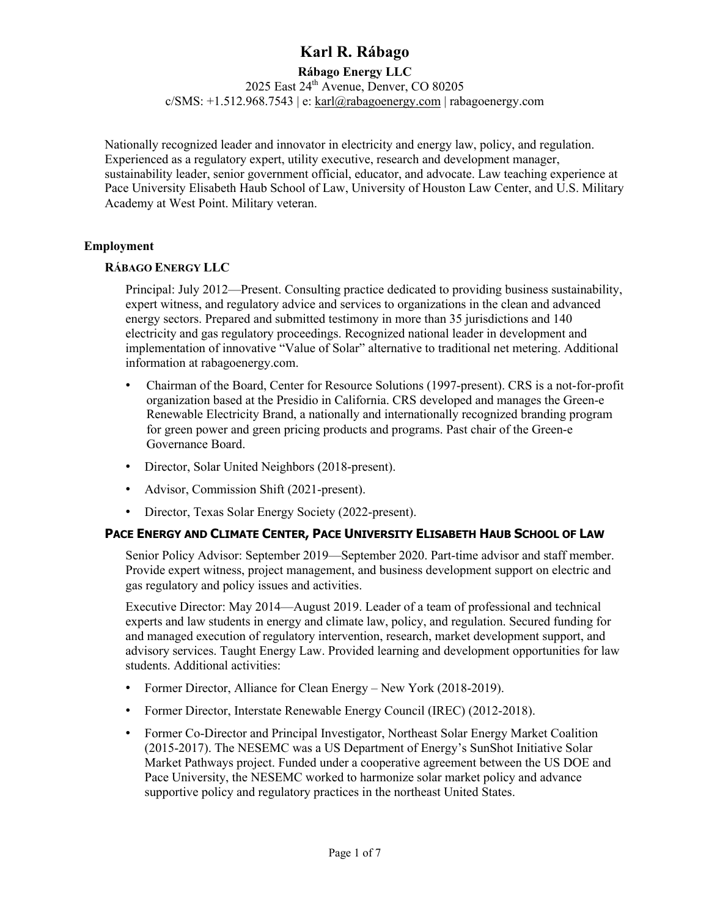## **Rábago Energy LLC**

2025 East 24<sup>th</sup> Avenue, Denver, CO 80205 c/SMS: +1.512.968.7543 | e: karl@rabagoenergy.com | rabagoenergy.com

Nationally recognized leader and innovator in electricity and energy law, policy, and regulation. Experienced as a regulatory expert, utility executive, research and development manager, sustainability leader, senior government official, educator, and advocate. Law teaching experience at Pace University Elisabeth Haub School of Law, University of Houston Law Center, and U.S. Military Academy at West Point. Military veteran.

### **Employment**

### **RÁBAGO ENERGY LLC**

Principal: July 2012—Present. Consulting practice dedicated to providing business sustainability, expert witness, and regulatory advice and services to organizations in the clean and advanced energy sectors. Prepared and submitted testimony in more than 35 jurisdictions and 140 electricity and gas regulatory proceedings. Recognized national leader in development and implementation of innovative "Value of Solar" alternative to traditional net metering. Additional information at rabagoenergy.com.

- Chairman of the Board, Center for Resource Solutions (1997-present). CRS is a not-for-profit organization based at the Presidio in California. CRS developed and manages the Green-e Renewable Electricity Brand, a nationally and internationally recognized branding program for green power and green pricing products and programs. Past chair of the Green-e Governance Board.
- Director, Solar United Neighbors (2018-present).
- Advisor, Commission Shift (2021-present).
- Director, Texas Solar Energy Society (2022-present).

## **PACE ENERGY AND CLIMATE CENTER, PACE UNIVERSITY ELISABETH HAUB SCHOOL OF LAW**

Senior Policy Advisor: September 2019—September 2020. Part-time advisor and staff member. Provide expert witness, project management, and business development support on electric and gas regulatory and policy issues and activities.

Executive Director: May 2014—August 2019. Leader of a team of professional and technical experts and law students in energy and climate law, policy, and regulation. Secured funding for and managed execution of regulatory intervention, research, market development support, and advisory services. Taught Energy Law. Provided learning and development opportunities for law students. Additional activities:

- Former Director, Alliance for Clean Energy New York (2018-2019).
- Former Director, Interstate Renewable Energy Council (IREC) (2012-2018).
- Former Co-Director and Principal Investigator, Northeast Solar Energy Market Coalition (2015-2017). The NESEMC was a US Department of Energy's SunShot Initiative Solar Market Pathways project. Funded under a cooperative agreement between the US DOE and Pace University, the NESEMC worked to harmonize solar market policy and advance supportive policy and regulatory practices in the northeast United States.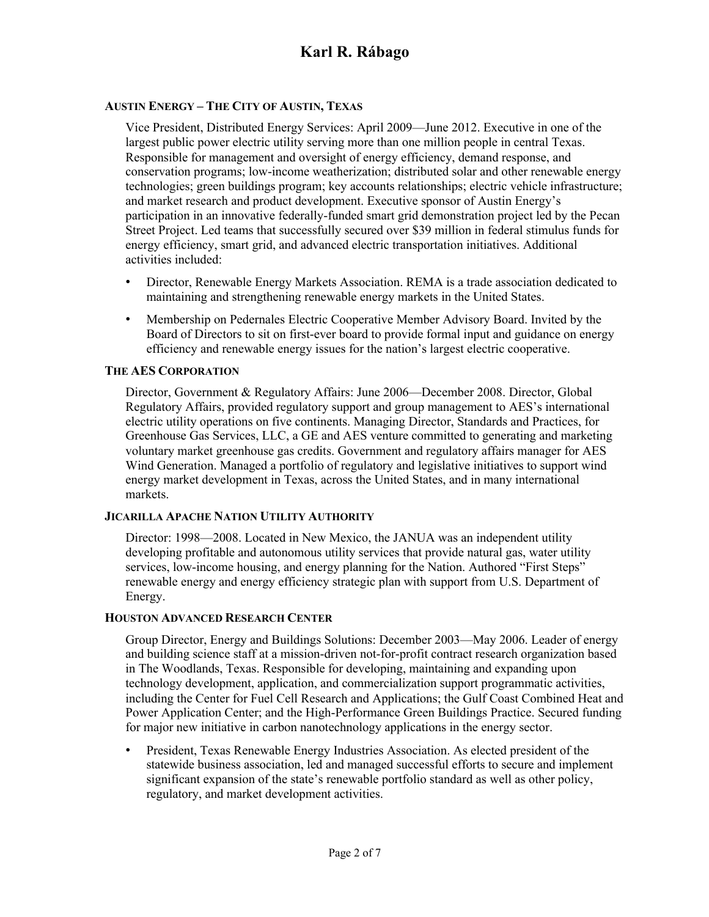## **AUSTIN ENERGY – THE CITY OF AUSTIN, TEXAS**

Vice President, Distributed Energy Services: April 2009—June 2012. Executive in one of the largest public power electric utility serving more than one million people in central Texas. Responsible for management and oversight of energy efficiency, demand response, and conservation programs; low-income weatherization; distributed solar and other renewable energy technologies; green buildings program; key accounts relationships; electric vehicle infrastructure; and market research and product development. Executive sponsor of Austin Energy's participation in an innovative federally-funded smart grid demonstration project led by the Pecan Street Project. Led teams that successfully secured over \$39 million in federal stimulus funds for energy efficiency, smart grid, and advanced electric transportation initiatives. Additional activities included:

- Director, Renewable Energy Markets Association. REMA is a trade association dedicated to maintaining and strengthening renewable energy markets in the United States.
- Membership on Pedernales Electric Cooperative Member Advisory Board. Invited by the Board of Directors to sit on first-ever board to provide formal input and guidance on energy efficiency and renewable energy issues for the nation's largest electric cooperative.

#### **THE AES CORPORATION**

Director, Government & Regulatory Affairs: June 2006—December 2008. Director, Global Regulatory Affairs, provided regulatory support and group management to AES's international electric utility operations on five continents. Managing Director, Standards and Practices, for Greenhouse Gas Services, LLC, a GE and AES venture committed to generating and marketing voluntary market greenhouse gas credits. Government and regulatory affairs manager for AES Wind Generation. Managed a portfolio of regulatory and legislative initiatives to support wind energy market development in Texas, across the United States, and in many international markets.

#### **JICARILLA APACHE NATION UTILITY AUTHORITY**

Director: 1998—2008. Located in New Mexico, the JANUA was an independent utility developing profitable and autonomous utility services that provide natural gas, water utility services, low-income housing, and energy planning for the Nation. Authored "First Steps" renewable energy and energy efficiency strategic plan with support from U.S. Department of Energy.

#### **HOUSTON ADVANCED RESEARCH CENTER**

Group Director, Energy and Buildings Solutions: December 2003—May 2006. Leader of energy and building science staff at a mission-driven not-for-profit contract research organization based in The Woodlands, Texas. Responsible for developing, maintaining and expanding upon technology development, application, and commercialization support programmatic activities, including the Center for Fuel Cell Research and Applications; the Gulf Coast Combined Heat and Power Application Center; and the High-Performance Green Buildings Practice. Secured funding for major new initiative in carbon nanotechnology applications in the energy sector.

• President, Texas Renewable Energy Industries Association. As elected president of the statewide business association, led and managed successful efforts to secure and implement significant expansion of the state's renewable portfolio standard as well as other policy, regulatory, and market development activities.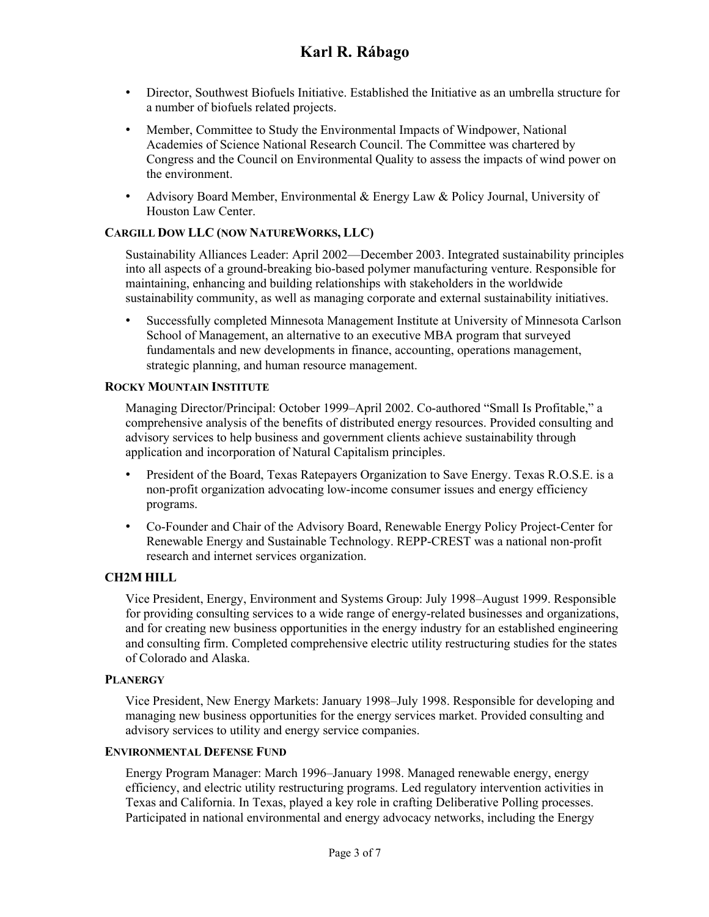- Director, Southwest Biofuels Initiative. Established the Initiative as an umbrella structure for a number of biofuels related projects.
- Member, Committee to Study the Environmental Impacts of Windpower, National Academies of Science National Research Council. The Committee was chartered by Congress and the Council on Environmental Quality to assess the impacts of wind power on the environment.
- Advisory Board Member, Environmental & Energy Law & Policy Journal, University of Houston Law Center.

### **CARGILL DOW LLC (NOW NATUREWORKS, LLC)**

Sustainability Alliances Leader: April 2002—December 2003. Integrated sustainability principles into all aspects of a ground-breaking bio-based polymer manufacturing venture. Responsible for maintaining, enhancing and building relationships with stakeholders in the worldwide sustainability community, as well as managing corporate and external sustainability initiatives.

• Successfully completed Minnesota Management Institute at University of Minnesota Carlson School of Management, an alternative to an executive MBA program that surveyed fundamentals and new developments in finance, accounting, operations management, strategic planning, and human resource management.

#### **ROCKY MOUNTAIN INSTITUTE**

Managing Director/Principal: October 1999–April 2002. Co-authored "Small Is Profitable," a comprehensive analysis of the benefits of distributed energy resources. Provided consulting and advisory services to help business and government clients achieve sustainability through application and incorporation of Natural Capitalism principles.

- President of the Board, Texas Ratepayers Organization to Save Energy. Texas R.O.S.E. is a non-profit organization advocating low-income consumer issues and energy efficiency programs.
- Co-Founder and Chair of the Advisory Board, Renewable Energy Policy Project-Center for Renewable Energy and Sustainable Technology. REPP-CREST was a national non-profit research and internet services organization.

#### **CH2M HILL**

Vice President, Energy, Environment and Systems Group: July 1998–August 1999. Responsible for providing consulting services to a wide range of energy-related businesses and organizations, and for creating new business opportunities in the energy industry for an established engineering and consulting firm. Completed comprehensive electric utility restructuring studies for the states of Colorado and Alaska.

#### **PLANERGY**

Vice President, New Energy Markets: January 1998–July 1998. Responsible for developing and managing new business opportunities for the energy services market. Provided consulting and advisory services to utility and energy service companies.

#### **ENVIRONMENTAL DEFENSE FUND**

Energy Program Manager: March 1996–January 1998. Managed renewable energy, energy efficiency, and electric utility restructuring programs. Led regulatory intervention activities in Texas and California. In Texas, played a key role in crafting Deliberative Polling processes. Participated in national environmental and energy advocacy networks, including the Energy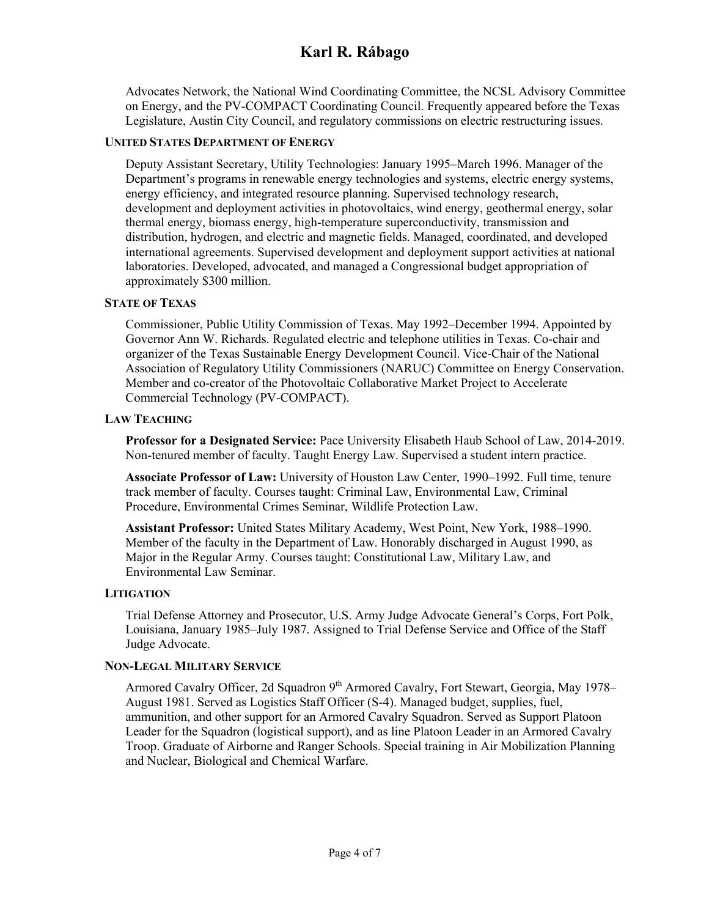Advocates Network, the National Wind Coordinating Committee, the NCSL Advisory Committee on Energy, and the PV-COMPACT Coordinating Council. Frequently appeared before the Texas Legislature, Austin City Council, and regulatory commissions on electric restructuring issues.

## **UNITED STATES DEPARTMENT OF ENERGY**

Deputy Assistant Secretary, Utility Technologies: January 1995–March 1996. Manager of the Department's programs in renewable energy technologies and systems, electric energy systems, energy efficiency, and integrated resource planning. Supervised technology research, development and deployment activities in photovoltaics, wind energy, geothermal energy, solar thermal energy, biomass energy, high-temperature superconductivity, transmission and distribution, hydrogen, and electric and magnetic fields. Managed, coordinated, and developed international agreements. Supervised development and deployment support activities at national laboratories. Developed, advocated, and managed a Congressional budget appropriation of approximately \$300 million.

### **STATE OF TEXAS**

Commissioner, Public Utility Commission of Texas. May 1992–December 1994. Appointed by Governor Ann W. Richards. Regulated electric and telephone utilities in Texas. Co-chair and organizer of the Texas Sustainable Energy Development Council. Vice-Chair of the National Association of Regulatory Utility Commissioners (NARUC) Committee on Energy Conservation. Member and co-creator of the Photovoltaic Collaborative Market Project to Accelerate Commercial Technology (PV-COMPACT).

### **LAW TEACHING**

**Professor for a Designated Service:** Pace University Elisabeth Haub School of Law, 2014-2019. Non-tenured member of faculty. Taught Energy Law. Supervised a student intern practice.

**Associate Professor of Law:** University of Houston Law Center, 1990–1992. Full time, tenure track member of faculty. Courses taught: Criminal Law, Environmental Law, Criminal Procedure, Environmental Crimes Seminar, Wildlife Protection Law.

**Assistant Professor:** United States Military Academy, West Point, New York, 1988–1990. Member of the faculty in the Department of Law. Honorably discharged in August 1990, as Major in the Regular Army. Courses taught: Constitutional Law, Military Law, and Environmental Law Seminar.

#### **LITIGATION**

Trial Defense Attorney and Prosecutor, U.S. Army Judge Advocate General's Corps, Fort Polk, Louisiana, January 1985–July 1987. Assigned to Trial Defense Service and Office of the Staff Judge Advocate.

## **NON-LEGAL MILITARY SERVICE**

Armored Cavalry Officer, 2d Squadron 9<sup>th</sup> Armored Cavalry, Fort Stewart, Georgia, Mav 1978– August 1981. Served as Logistics Staff Officer (S-4). Managed budget, supplies, fuel, ammunition, and other support for an Armored Cavalry Squadron. Served as Support Platoon Leader for the Squadron (logistical support), and as line Platoon Leader in an Armored Cavalry Troop. Graduate of Airborne and Ranger Schools. Special training in Air Mobilization Planning and Nuclear, Biological and Chemical Warfare.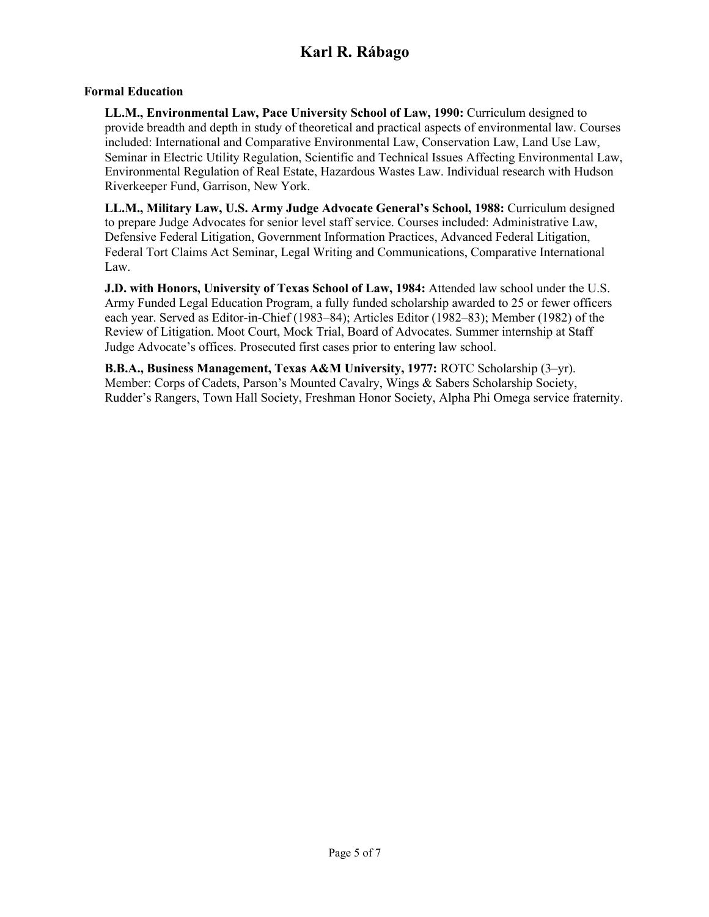### **Formal Education**

**LL.M., Environmental Law, Pace University School of Law, 1990:** Curriculum designed to provide breadth and depth in study of theoretical and practical aspects of environmental law. Courses included: International and Comparative Environmental Law, Conservation Law, Land Use Law, Seminar in Electric Utility Regulation, Scientific and Technical Issues Affecting Environmental Law, Environmental Regulation of Real Estate, Hazardous Wastes Law. Individual research with Hudson Riverkeeper Fund, Garrison, New York.

**LL.M., Military Law, U.S. Army Judge Advocate General's School, 1988:** Curriculum designed to prepare Judge Advocates for senior level staff service. Courses included: Administrative Law, Defensive Federal Litigation, Government Information Practices, Advanced Federal Litigation, Federal Tort Claims Act Seminar, Legal Writing and Communications, Comparative International Law.

**J.D. with Honors, University of Texas School of Law, 1984:** Attended law school under the U.S. Army Funded Legal Education Program, a fully funded scholarship awarded to 25 or fewer officers each year. Served as Editor-in-Chief (1983–84); Articles Editor (1982–83); Member (1982) of the Review of Litigation. Moot Court, Mock Trial, Board of Advocates. Summer internship at Staff Judge Advocate's offices. Prosecuted first cases prior to entering law school.

**B.B.A., Business Management, Texas A&M University, 1977:** ROTC Scholarship (3–yr). Member: Corps of Cadets, Parson's Mounted Cavalry, Wings & Sabers Scholarship Society, Rudder's Rangers, Town Hall Society, Freshman Honor Society, Alpha Phi Omega service fraternity.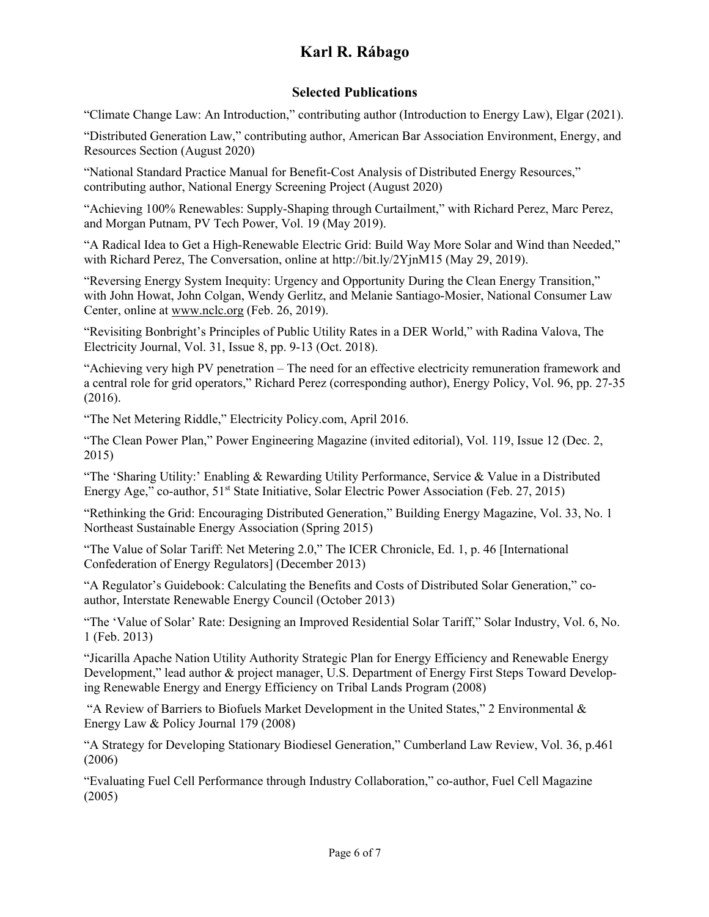## **Selected Publications**

"Climate Change Law: An Introduction," contributing author (Introduction to Energy Law), Elgar (2021).

"Distributed Generation Law," contributing author, American Bar Association Environment, Energy, and Resources Section (August 2020)

"National Standard Practice Manual for Benefit-Cost Analysis of Distributed Energy Resources," contributing author, National Energy Screening Project (August 2020)

"Achieving 100% Renewables: Supply-Shaping through Curtailment," with Richard Perez, Marc Perez, and Morgan Putnam, PV Tech Power, Vol. 19 (May 2019).

"A Radical Idea to Get a High-Renewable Electric Grid: Build Way More Solar and Wind than Needed," with Richard Perez, The Conversation, online at http://bit.ly/2YjnM15 (May 29, 2019).

"Reversing Energy System Inequity: Urgency and Opportunity During the Clean Energy Transition," with John Howat, John Colgan, Wendy Gerlitz, and Melanie Santiago-Mosier, National Consumer Law Center, online at www.nclc.org (Feb. 26, 2019).

"Revisiting Bonbright's Principles of Public Utility Rates in a DER World," with Radina Valova, The Electricity Journal, Vol. 31, Issue 8, pp. 9-13 (Oct. 2018).

"Achieving very high PV penetration – The need for an effective electricity remuneration framework and a central role for grid operators," Richard Perez (corresponding author), Energy Policy, Vol. 96, pp. 27-35 (2016).

"The Net Metering Riddle," Electricity Policy.com, April 2016.

"The Clean Power Plan," Power Engineering Magazine (invited editorial), Vol. 119, Issue 12 (Dec. 2, 2015)

"The 'Sharing Utility:' Enabling & Rewarding Utility Performance, Service & Value in a Distributed Energy Age," co-author, 51<sup>st</sup> State Initiative, Solar Electric Power Association (Feb. 27, 2015)

"Rethinking the Grid: Encouraging Distributed Generation," Building Energy Magazine, Vol. 33, No. 1 Northeast Sustainable Energy Association (Spring 2015)

"The Value of Solar Tariff: Net Metering 2.0," The ICER Chronicle, Ed. 1, p. 46 [International Confederation of Energy Regulators] (December 2013)

"A Regulator's Guidebook: Calculating the Benefits and Costs of Distributed Solar Generation," coauthor, Interstate Renewable Energy Council (October 2013)

"The 'Value of Solar' Rate: Designing an Improved Residential Solar Tariff," Solar Industry, Vol. 6, No. 1 (Feb. 2013)

"Jicarilla Apache Nation Utility Authority Strategic Plan for Energy Efficiency and Renewable Energy Development," lead author & project manager, U.S. Department of Energy First Steps Toward Developing Renewable Energy and Energy Efficiency on Tribal Lands Program (2008)

"A Review of Barriers to Biofuels Market Development in the United States," 2 Environmental  $\&$ Energy Law & Policy Journal 179 (2008)

"A Strategy for Developing Stationary Biodiesel Generation," Cumberland Law Review, Vol. 36, p.461 (2006)

"Evaluating Fuel Cell Performance through Industry Collaboration," co-author, Fuel Cell Magazine (2005)